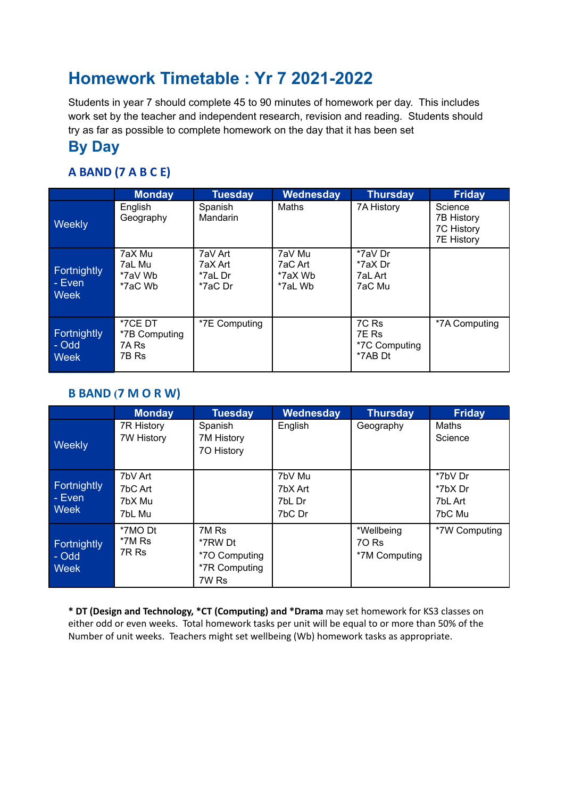# **Homework Timetable : Yr 7 2021-2022**

Students in year 7 should complete 45 to 90 minutes of homework per day. This includes work set by the teacher and independent research, revision and reading. Students should try as far as possible to complete homework on the day that it has been set

### **By Day**

### **A BAND (7 A B C E)**

|                                              | <b>Monday</b>                              | <b>Tuesday</b>                           | Wednesday                               | <b>Thursday</b>                            | <b>Friday</b>                                            |
|----------------------------------------------|--------------------------------------------|------------------------------------------|-----------------------------------------|--------------------------------------------|----------------------------------------------------------|
| Weekly                                       | English<br>Geography                       | Spanish<br><b>Mandarin</b>               | <b>Maths</b>                            | 7A History                                 | Science<br>7B History<br>7C History<br><b>7E History</b> |
| <b>Fortnightly</b><br>- Evenl<br><b>Week</b> | 7aX Mu<br>7aL Mu<br>*7aV Wb<br>*7aC Wb     | 7aV Art<br>7aX Art<br>*7aL Dr<br>*7aC Dr | 7aV Mu<br>7aC Art<br>*7aX Wb<br>*7aL Wb | *7aV Dr<br>*7aX Dr<br>7aL Art<br>7aC Mu    |                                                          |
| <b>Fortnightly</b><br>- Odd<br><b>Week</b>   | *7CE DT<br>*7B Computing<br>7A Rs<br>7B Rs | *7E Computing                            |                                         | 7C Rs<br>7E Rs<br>*7C Computing<br>*7AB Dt | *7A Computing                                            |

#### **B BAND (7 M O R W)**

|                                      | <b>Monday</b>                          | <b>Tuesday</b>                                              | Wednesday                             | <b>Thursday</b>                      | <b>Friday</b>                           |
|--------------------------------------|----------------------------------------|-------------------------------------------------------------|---------------------------------------|--------------------------------------|-----------------------------------------|
| Weekly                               | 7R History<br><b>7W History</b>        | Spanish<br>7M History<br>70 History                         | English                               | Geography                            | Maths<br>Science                        |
| Fortnightly<br>- Even<br><b>Week</b> | 7bV Art<br>7bC Art<br>7bX Mu<br>7bL Mu |                                                             | 7bV Mu<br>7bX Art<br>7bL Dr<br>7bC Dr |                                      | *7bV Dr<br>*7bX Dr<br>7bL Art<br>7bC Mu |
| <b>Fortnightly</b><br>- Odd<br>Week  | *7MO Dt<br>*7M Rs<br>7R Rs             | 7M Rs<br>*7RW Dt<br>*70 Computing<br>*7R Computing<br>7W Rs |                                       | *Wellbeing<br>70 Rs<br>*7M Computing | *7W Computing                           |

**\* DT (Design and Technology, \*CT (Computing) and \*Drama** may set homework for KS3 classes on either odd or even weeks. Total homework tasks per unit will be equal to or more than 50% of the Number of unit weeks. Teachers might set wellbeing (Wb) homework tasks as appropriate.